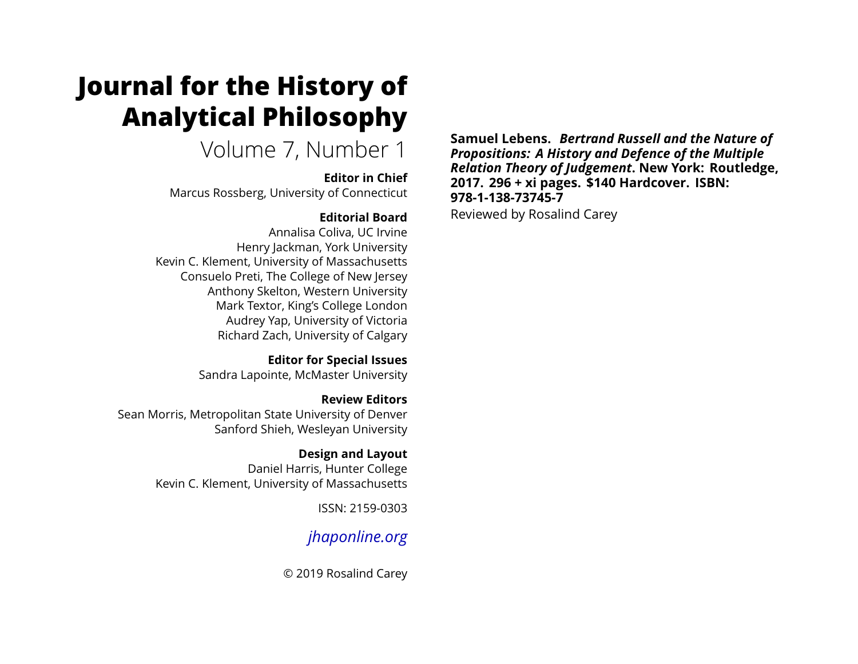# **Journal for the History of Analytical Philosophy**

Volume 7, Number 1

#### **Editor in Chief**

Marcus Rossberg, University of Connecticut

## **Editorial Board**

Annalisa Coliva, UC Irvine Henry Jackman, York University Kevin C. Klement, University of Massachusetts Consuelo Preti, The College of New Jersey Anthony Skelton, Western University Mark Textor, King's College London Audrey Yap, University of Victoria Richard Zach, University of Calgary

> **Editor for Special Issues** Sandra Lapointe, McMaster University

**Review Editors** Sean Morris, Metropolitan State University of Denver Sanford Shieh, Wesleyan University

> **Design and Layout** Daniel Harris, Hunter College Kevin C. Klement, University of Massachusetts

> > ISSN: 2159-0303

# *[jhaponline.org](https://jhaponline.org)*

© 2019 Rosalind Carey

**Samuel Lebens.** *Bertrand Russell and the Nature of Propositions: A History and Defence of the Multiple Relation Theory of Judgement***. New York: Routledge, 2017. 296 + xi pages. \$140 Hardcover. ISBN: 978-1-138-73745-7** Reviewed by Rosalind Carey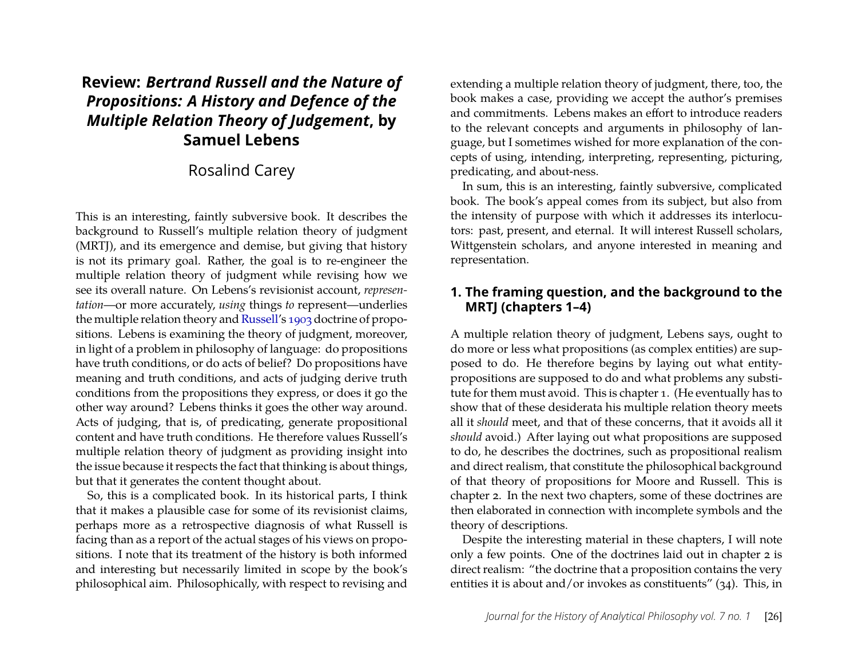# **Review:** *Bertrand Russell and the Nature of Propositions: A History and Defence of the Multiple Relation Theory of Judgement***, by Samuel Lebens**

### Rosalind Carey

This is an interesting, faintly subversive book. It describes the background to Russell's multiple relation theory of judgment (MRTJ), and its emergence and demise, but giving that history is not its primary goal. Rather, the goal is to re-engineer the multiple relation theory of judgment while revising how we see its overall nature. On Lebens's revisionist account, *representation*—or more accurately, *using* things *to* represent—underlies the multiple relation theory and [Russell'](#page-8-0)s [1903](#page-8-0) doctrine of propositions. Lebens is examining the theory of judgment, moreover, in light of a problem in philosophy of language: do propositions have truth conditions, or do acts of belief? Do propositions have meaning and truth conditions, and acts of judging derive truth conditions from the propositions they express, or does it go the other way around? Lebens thinks it goes the other way around. Acts of judging, that is, of predicating, generate propositional content and have truth conditions. He therefore values Russell's multiple relation theory of judgment as providing insight into the issue because it respects the fact that thinking is about things, but that it generates the content thought about.

So, this is a complicated book. In its historical parts, I think that it makes a plausible case for some of its revisionist claims, perhaps more as a retrospective diagnosis of what Russell is facing than as a report of the actual stages of his views on propositions. I note that its treatment of the history is both informed and interesting but necessarily limited in scope by the book's philosophical aim. Philosophically, with respect to revising and

extending a multiple relation theory of judgment, there, too, the book makes a case, providing we accept the author's premises and commitments. Lebens makes an effort to introduce readers to the relevant concepts and arguments in philosophy of language, but I sometimes wished for more explanation of the concepts of using, intending, interpreting, representing, picturing, predicating, and about-ness.

In sum, this is an interesting, faintly subversive, complicated book. The book's appeal comes from its subject, but also from the intensity of purpose with which it addresses its interlocutors: past, present, and eternal. It will interest Russell scholars, Wittgenstein scholars, and anyone interested in meaning and representation.

#### **1. The framing question, and the background to the MRTJ (chapters 1–4)**

A multiple relation theory of judgment, Lebens says, ought to do more or less what propositions (as complex entities) are supposed to do. He therefore begins by laying out what entitypropositions are supposed to do and what problems any substitute for them must avoid. This is chapter 1. (He eventually has to show that of these desiderata his multiple relation theory meets all it *should* meet, and that of these concerns, that it avoids all it *should* avoid.) After laying out what propositions are supposed to do, he describes the doctrines, such as propositional realism and direct realism, that constitute the philosophical background of that theory of propositions for Moore and Russell. This is chapter 2. In the next two chapters, some of these doctrines are then elaborated in connection with incomplete symbols and the theory of descriptions.

Despite the interesting material in these chapters, I will note only a few points. One of the doctrines laid out in chapter 2 is direct realism: "the doctrine that a proposition contains the very entities it is about and/or invokes as constituents" (34). This, in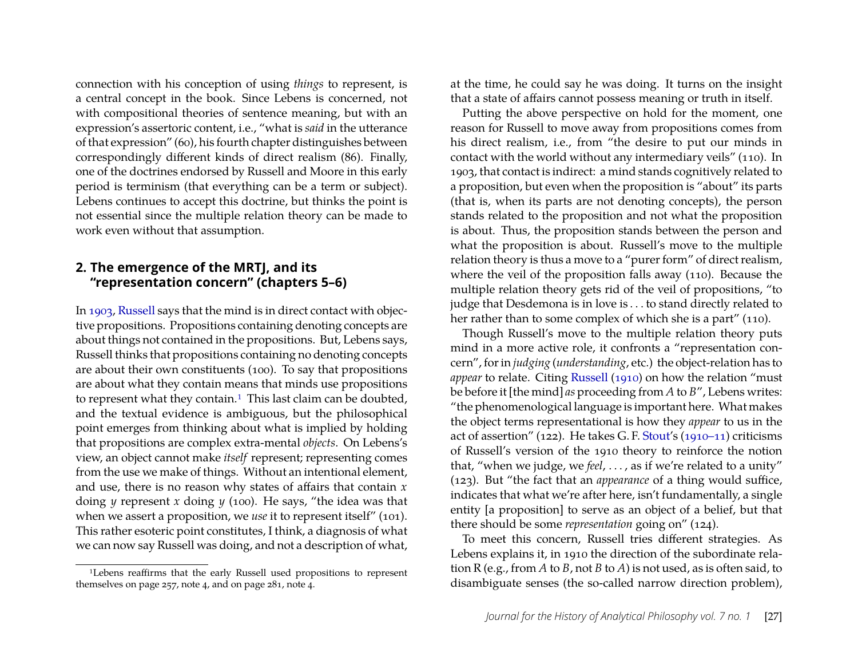connection with his conception of using *things* to represent, is a central concept in the book. Since Lebens is concerned, not with compositional theories of sentence meaning, but with an expression's assertoric content, i.e., "what is *said* in the utterance of that expression" (60), his fourth chapter distinguishes between correspondingly different kinds of direct realism (86). Finally, one of the doctrines endorsed by Russell and Moore in this early period is terminism (that everything can be a term or subject). Lebens continues to accept this doctrine, but thinks the point is not essential since the multiple relation theory can be made to work even without that assumption.

#### **2. The emergence of the MRTJ, and its "representation concern" (chapters 5–6)**

In [1903,](#page-8-0) [Russell](#page-8-0) says that the mind is in direct contact with objective propositions. Propositions containing denoting concepts are about things not contained in the propositions. But, Lebens says, Russell thinks that propositions containing no denoting concepts are about their own constituents (100). To say that propositions are about what they contain means that minds use propositions to represent what they contain.<sup>[1](#page-2-0)</sup> This last claim can be doubted, and the textual evidence is ambiguous, but the philosophical point emerges from thinking about what is implied by holding that propositions are complex extra-mental *objects*. On Lebens's view, an object cannot make *itself* represent; representing comes from the use we make of things. Without an intentional element, and use, there is no reason why states of affairs that contain *x* doing *y* represent *x* doing *y* (100). He says, "the idea was that when we assert a proposition, we *use* it to represent itself" (101). This rather esoteric point constitutes, I think, a diagnosis of what we can now say Russell was doing, and not a description of what, at the time, he could say he was doing. It turns on the insight that a state of affairs cannot possess meaning or truth in itself.

Putting the above perspective on hold for the moment, one reason for Russell to move away from propositions comes from his direct realism, i.e., from "the desire to put our minds in contact with the world without any intermediary veils" (110). In 1903, that contact is indirect: a mind stands cognitively related to a proposition, but even when the proposition is "about" its parts (that is, when its parts are not denoting concepts), the person stands related to the proposition and not what the proposition is about. Thus, the proposition stands between the person and what the proposition is about. Russell's move to the multiple relation theory is thus a move to a "purer form" of direct realism, where the veil of the proposition falls away (110). Because the multiple relation theory gets rid of the veil of propositions, "to judge that Desdemona is in love is . . . to stand directly related to her rather than to some complex of which she is a part" (110).

Though Russell's move to the multiple relation theory puts mind in a more active role, it confronts a "representation concern", for in *judging* (*understanding*, etc.) the object-relation has to *appear* to relate. Citing [Russell](#page-8-1) [\(1910\)](#page-8-1) on how the relation "must be before it [the mind] *as* proceeding from *A* to *B*", Lebens writes: "the phenomenological language is important here. What makes the object terms representational is how they *appear* to us in the act of assertion" (122). He takes G. F. [Stout'](#page-9-0)s [\(1910–11\)](#page-9-0) criticisms of Russell's version of the 1910 theory to reinforce the notion that, "when we judge, we *feel*, . . . , as if we're related to a unity" (123). But "the fact that an *appearance* of a thing would suffice, indicates that what we're after here, isn't fundamentally, a single entity [a proposition] to serve as an object of a belief, but that there should be some *representation* going on" (124).

To meet this concern, Russell tries different strategies. As Lebens explains it, in 1910 the direction of the subordinate relation R (e.g., from *A* to *B*, not *B* to *A*) is not used, as is often said, to disambiguate senses (the so-called narrow direction problem),

<span id="page-2-0"></span><sup>1</sup>Lebens reaffirms that the early Russell used propositions to represent themselves on page 257, note 4, and on page 281, note 4.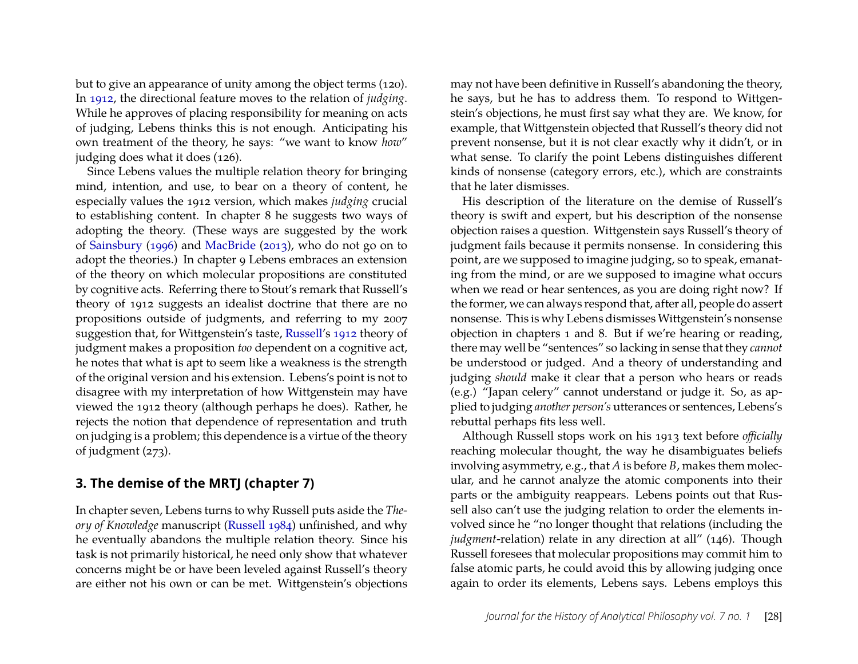but to give an appearance of unity among the object terms (120). In [1912,](#page-8-2) the directional feature moves to the relation of *judging*. While he approves of placing responsibility for meaning on acts of judging, Lebens thinks this is not enough. Anticipating his own treatment of the theory, he says: "we want to know *how*" judging does what it does (126).

Since Lebens values the multiple relation theory for bringing mind, intention, and use, to bear on a theory of content, he especially values the 1912 version, which makes *judging* crucial to establishing content. In chapter 8 he suggests two ways of adopting the theory. (These ways are suggested by the work of [Sainsbury](#page-8-3) [\(1996\)](#page-8-3) and [MacBride](#page-8-4) [\(2013\)](#page-8-4), who do not go on to adopt the theories.) In chapter 9 Lebens embraces an extension of the theory on which molecular propositions are constituted by cognitive acts. Referring there to Stout's remark that Russell's theory of 1912 suggests an idealist doctrine that there are no propositions outside of judgments, and referring to my 2007 suggestion that, for Wittgenstein's taste, [Russell'](#page-8-2)s [1912](#page-8-2) theory of judgment makes a proposition *too* dependent on a cognitive act, he notes that what is apt to seem like a weakness is the strength of the original version and his extension. Lebens's point is not to disagree with my interpretation of how Wittgenstein may have viewed the 1912 theory (although perhaps he does). Rather, he rejects the notion that dependence of representation and truth on judging is a problem; this dependence is a virtue of the theory of judgment (273).

#### **3. The demise of the MRTJ (chapter 7)**

In chapter seven, Lebens turns to why Russell puts aside the *Theory of Knowledge* manuscript [\(Russell 1984\)](#page-8-5) unfinished, and why he eventually abandons the multiple relation theory. Since his task is not primarily historical, he need only show that whatever concerns might be or have been leveled against Russell's theory are either not his own or can be met. Wittgenstein's objections may not have been definitive in Russell's abandoning the theory, he says, but he has to address them. To respond to Wittgenstein's objections, he must first say what they are. We know, for example, that Wittgenstein objected that Russell's theory did not prevent nonsense, but it is not clear exactly why it didn't, or in what sense. To clarify the point Lebens distinguishes different kinds of nonsense (category errors, etc.), which are constraints that he later dismisses.

His description of the literature on the demise of Russell's theory is swift and expert, but his description of the nonsense objection raises a question. Wittgenstein says Russell's theory of judgment fails because it permits nonsense. In considering this point, are we supposed to imagine judging, so to speak, emanating from the mind, or are we supposed to imagine what occurs when we read or hear sentences, as you are doing right now? If the former, we can always respond that, after all, people do assert nonsense. This is why Lebens dismisses Wittgenstein's nonsense objection in chapters 1 and 8. But if we're hearing or reading, there may well be "sentences" so lacking in sense that they *cannot* be understood or judged. And a theory of understanding and judging *should* make it clear that a person who hears or reads (e.g.) "Japan celery" cannot understand or judge it. So, as applied to judging *another person's* utterances or sentences, Lebens's rebuttal perhaps fits less well.

Although Russell stops work on his 1913 text before *officially* reaching molecular thought, the way he disambiguates beliefs involving asymmetry, e.g., that *A* is before *B*, makes them molecular, and he cannot analyze the atomic components into their parts or the ambiguity reappears. Lebens points out that Russell also can't use the judging relation to order the elements involved since he "no longer thought that relations (including the *judgment-relation*) relate in any direction at all" (146). Though Russell foresees that molecular propositions may commit him to false atomic parts, he could avoid this by allowing judging once again to order its elements, Lebens says. Lebens employs this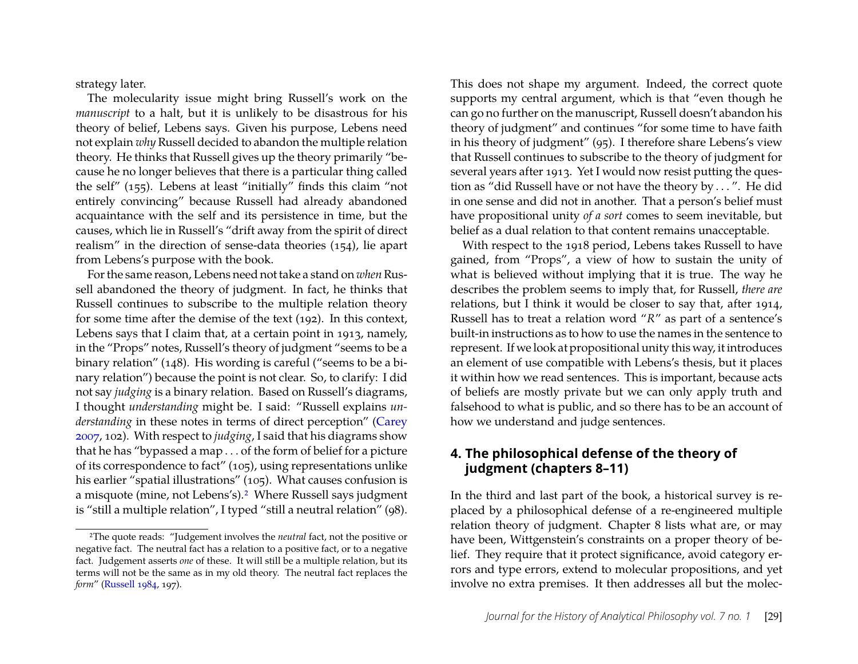strategy later.

The molecularity issue might bring Russell's work on the *manuscript* to a halt, but it is unlikely to be disastrous for his theory of belief, Lebens says. Given his purpose, Lebens need not explain *why* Russell decided to abandon the multiple relation theory. He thinks that Russell gives up the theory primarily "because he no longer believes that there is a particular thing called the self" (155). Lebens at least "initially" finds this claim "not entirely convincing" because Russell had already abandoned acquaintance with the self and its persistence in time, but the causes, which lie in Russell's "drift away from the spirit of direct realism" in the direction of sense-data theories (154), lie apart from Lebens's purpose with the book.

For the same reason, Lebens need not take a stand on *when* Russell abandoned the theory of judgment. In fact, he thinks that Russell continues to subscribe to the multiple relation theory for some time after the demise of the text (192). In this context, Lebens says that I claim that, at a certain point in 1913, namely, in the "Props" notes, Russell's theory of judgment "seems to be a binary relation" (148). His wording is careful ("seems to be a binary relation") because the point is not clear. So, to clarify: I did not say *judging* is a binary relation. Based on Russell's diagrams, I thought *understanding* might be. I said: "Russell explains *understanding* in these notes in terms of direct perception" [\(Carey](#page-8-6) [2007,](#page-8-6) 102). With respect to *judging*, I said that his diagrams show that he has "bypassed a map . . . of the form of belief for a picture of its correspondence to fact" (105), using representations unlike his earlier "spatial illustrations" (105). What causes confusion is a misquote (mine, not Lebens's).[2](#page-4-0) Where Russell says judgment is "still a multiple relation", I typed "still a neutral relation" (98).

This does not shape my argument. Indeed, the correct quote supports my central argument, which is that "even though he can go no further on the manuscript, Russell doesn't abandon his theory of judgment" and continues "for some time to have faith in his theory of judgment" (95). I therefore share Lebens's view that Russell continues to subscribe to the theory of judgment for several years after 1913. Yet I would now resist putting the question as "did Russell have or not have the theory by . . . ". He did in one sense and did not in another. That a person's belief must have propositional unity *of a sort* comes to seem inevitable, but belief as a dual relation to that content remains unacceptable.

With respect to the 1918 period, Lebens takes Russell to have gained, from "Props", a view of how to sustain the unity of what is believed without implying that it is true. The way he describes the problem seems to imply that, for Russell, *there are* relations, but I think it would be closer to say that, after 1914, Russell has to treat a relation word "*R*" as part of a sentence's built-in instructions as to how to use the names in the sentence to represent. If we look at propositional unity this way, it introduces an element of use compatible with Lebens's thesis, but it places it within how we read sentences. This is important, because acts of beliefs are mostly private but we can only apply truth and falsehood to what is public, and so there has to be an account of how we understand and judge sentences.

#### **4. The philosophical defense of the theory of judgment (chapters 8–11)**

In the third and last part of the book, a historical survey is replaced by a philosophical defense of a re-engineered multiple relation theory of judgment. Chapter 8 lists what are, or may have been, Wittgenstein's constraints on a proper theory of belief. They require that it protect significance, avoid category errors and type errors, extend to molecular propositions, and yet involve no extra premises. It then addresses all but the molec-

<span id="page-4-0"></span><sup>2</sup>The quote reads: "Judgement involves the *neutral* fact, not the positive or negative fact. The neutral fact has a relation to a positive fact, or to a negative fact. Judgement asserts *one* of these. It will still be a multiple relation, but its terms will not be the same as in my old theory. The neutral fact replaces the *form*" [\(Russell 1984,](#page-8-5) 197).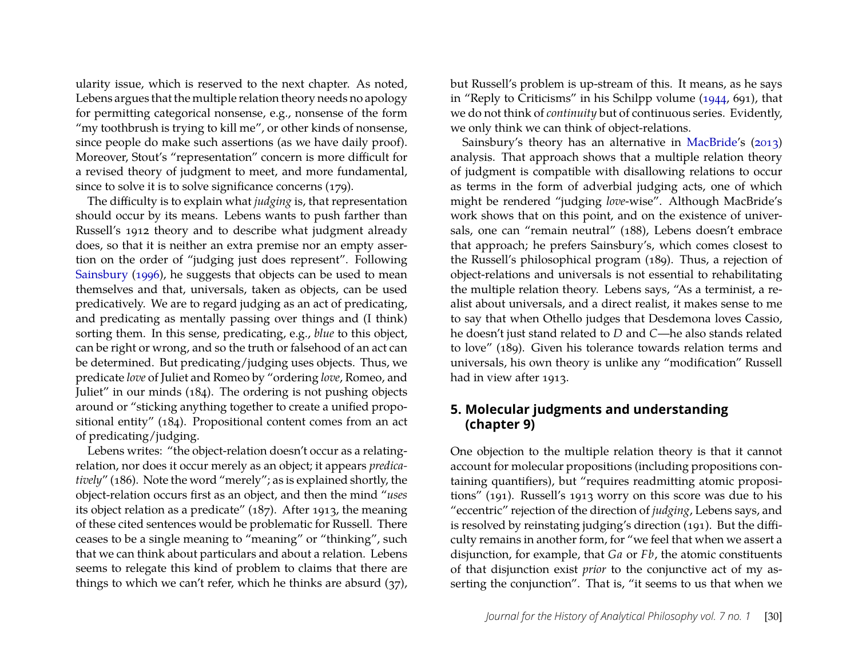ularity issue, which is reserved to the next chapter. As noted, Lebens argues that the multiple relation theory needs no apology for permitting categorical nonsense, e.g., nonsense of the form "my toothbrush is trying to kill me", or other kinds of nonsense, since people do make such assertions (as we have daily proof). Moreover, Stout's "representation" concern is more difficult for a revised theory of judgment to meet, and more fundamental, since to solve it is to solve significance concerns (179).

The difficulty is to explain what *judging* is, that representation should occur by its means. Lebens wants to push farther than Russell's 1912 theory and to describe what judgment already does, so that it is neither an extra premise nor an empty assertion on the order of "judging just does represent". Following [Sainsbury](#page-8-3) [\(1996\)](#page-8-3), he suggests that objects can be used to mean themselves and that, universals, taken as objects, can be used predicatively. We are to regard judging as an act of predicating, and predicating as mentally passing over things and (I think) sorting them. In this sense, predicating, e.g., *blue* to this object, can be right or wrong, and so the truth or falsehood of an act can be determined. But predicating/judging uses objects. Thus, we predicate *love* of Juliet and Romeo by "ordering *love*, Romeo, and Juliet" in our minds (184). The ordering is not pushing objects around or "sticking anything together to create a unified propositional entity" (184). Propositional content comes from an act of predicating/judging.

Lebens writes: "the object-relation doesn't occur as a relatingrelation, nor does it occur merely as an object; it appears *predicatively*" (186). Note the word "merely"; as is explained shortly, the object-relation occurs first as an object, and then the mind "*uses* its object relation as a predicate" (187). After 1913, the meaning of these cited sentences would be problematic for Russell. There ceases to be a single meaning to "meaning" or "thinking", such that we can think about particulars and about a relation. Lebens seems to relegate this kind of problem to claims that there are things to which we can't refer, which he thinks are absurd (37), but Russell's problem is up-stream of this. It means, as he says in "Reply to Criticisms" in his Schilpp volume [\(1944,](#page-8-7) 691), that we do not think of *continuity* but of continuous series. Evidently, we only think we can think of object-relations.

Sainsbury's theory has an alternative in [MacBride'](#page-8-4)s [\(2013\)](#page-8-4) analysis. That approach shows that a multiple relation theory of judgment is compatible with disallowing relations to occur as terms in the form of adverbial judging acts, one of which might be rendered "judging *love*-wise". Although MacBride's work shows that on this point, and on the existence of universals, one can "remain neutral" (188), Lebens doesn't embrace that approach; he prefers Sainsbury's, which comes closest to the Russell's philosophical program (189). Thus, a rejection of object-relations and universals is not essential to rehabilitating the multiple relation theory. Lebens says, "As a terminist, a realist about universals, and a direct realist, it makes sense to me to say that when Othello judges that Desdemona loves Cassio, he doesn't just stand related to *D* and *C*—he also stands related to love" (189). Given his tolerance towards relation terms and universals, his own theory is unlike any "modification" Russell had in view after 1913.

#### **5. Molecular judgments and understanding (chapter 9)**

One objection to the multiple relation theory is that it cannot account for molecular propositions (including propositions containing quantifiers), but "requires readmitting atomic propositions" (191). Russell's 1913 worry on this score was due to his "eccentric" rejection of the direction of *judging*, Lebens says, and is resolved by reinstating judging's direction (191). But the difficulty remains in another form, for "we feel that when we assert a disjunction, for example, that *Ga* or *Fb*, the atomic constituents of that disjunction exist *prior* to the conjunctive act of my asserting the conjunction". That is, "it seems to us that when we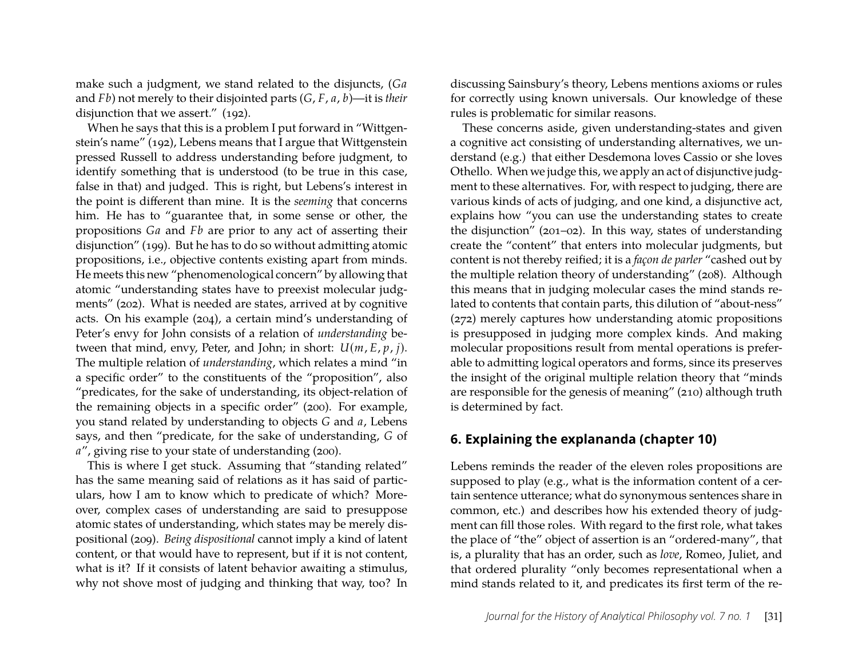make such a judgment, we stand related to the disjuncts, (*Ga* and *Fb*) not merely to their disjointed parts (*G*, *F*, *a*, *b*)—it is *their* disjunction that we assert." (192).

When he says that this is a problem I put forward in "Wittgenstein's name" (192), Lebens means that I argue that Wittgenstein pressed Russell to address understanding before judgment, to identify something that is understood (to be true in this case, false in that) and judged. This is right, but Lebens's interest in the point is different than mine. It is the *seeming* that concerns him. He has to "guarantee that, in some sense or other, the propositions *Ga* and *Fb* are prior to any act of asserting their disjunction" (199). But he has to do so without admitting atomic propositions, i.e., objective contents existing apart from minds. He meets this new "phenomenological concern" by allowing that atomic "understanding states have to preexist molecular judgments" (202). What is needed are states, arrived at by cognitive acts. On his example (204), a certain mind's understanding of Peter's envy for John consists of a relation of *understanding* between that mind, envy, Peter, and John; in short: *U*(*m*, *E*, *p*, *j*). The multiple relation of *understanding*, which relates a mind "in a specific order" to the constituents of the "proposition", also "predicates, for the sake of understanding, its object-relation of the remaining objects in a specific order" (200). For example, you stand related by understanding to objects *G* and *a*, Lebens says, and then "predicate, for the sake of understanding, *G* of *a*", giving rise to your state of understanding (200).

This is where I get stuck. Assuming that "standing related" has the same meaning said of relations as it has said of particulars, how I am to know which to predicate of which? Moreover, complex cases of understanding are said to presuppose atomic states of understanding, which states may be merely dispositional (209). *Being dispositional* cannot imply a kind of latent content, or that would have to represent, but if it is not content, what is it? If it consists of latent behavior awaiting a stimulus, why not shove most of judging and thinking that way, too? In discussing Sainsbury's theory, Lebens mentions axioms or rules for correctly using known universals. Our knowledge of these rules is problematic for similar reasons.

These concerns aside, given understanding-states and given a cognitive act consisting of understanding alternatives, we understand (e.g.) that either Desdemona loves Cassio or she loves Othello. When we judge this, we apply an act of disjunctive judgment to these alternatives. For, with respect to judging, there are various kinds of acts of judging, and one kind, a disjunctive act, explains how "you can use the understanding states to create the disjunction" (201–02). In this way, states of understanding create the "content" that enters into molecular judgments, but content is not thereby reified; it is a *façon de parler* "cashed out by the multiple relation theory of understanding" (208). Although this means that in judging molecular cases the mind stands related to contents that contain parts, this dilution of "about-ness" (272) merely captures how understanding atomic propositions is presupposed in judging more complex kinds. And making molecular propositions result from mental operations is preferable to admitting logical operators and forms, since its preserves the insight of the original multiple relation theory that "minds are responsible for the genesis of meaning" (210) although truth is determined by fact.

#### **6. Explaining the explananda (chapter 10)**

Lebens reminds the reader of the eleven roles propositions are supposed to play (e.g., what is the information content of a certain sentence utterance; what do synonymous sentences share in common, etc.) and describes how his extended theory of judgment can fill those roles. With regard to the first role, what takes the place of "the" object of assertion is an "ordered-many", that is, a plurality that has an order, such as *love*, Romeo, Juliet, and that ordered plurality "only becomes representational when a mind stands related to it, and predicates its first term of the re-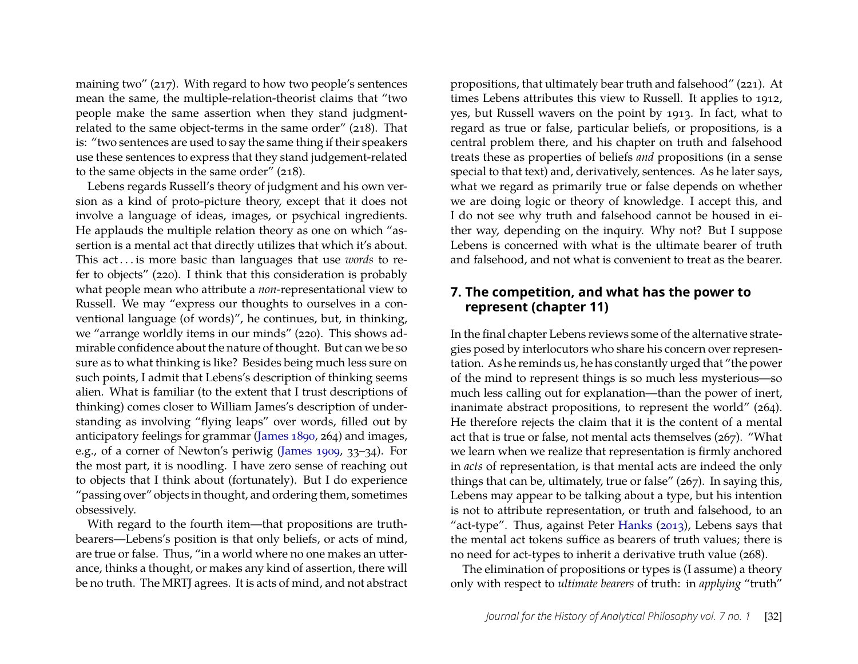maining two" (217). With regard to how two people's sentences mean the same, the multiple-relation-theorist claims that "two people make the same assertion when they stand judgmentrelated to the same object-terms in the same order" (218). That is: "two sentences are used to say the same thing if their speakers use these sentences to express that they stand judgement-related to the same objects in the same order" (218).

Lebens regards Russell's theory of judgment and his own version as a kind of proto-picture theory, except that it does not involve a language of ideas, images, or psychical ingredients. He applauds the multiple relation theory as one on which "assertion is a mental act that directly utilizes that which it's about. This act . . . is more basic than languages that use *words* to refer to objects" (220). I think that this consideration is probably what people mean who attribute a *non*-representational view to Russell. We may "express our thoughts to ourselves in a conventional language (of words)", he continues, but, in thinking, we "arrange worldly items in our minds" (220). This shows admirable confidence about the nature of thought. But can we be so sure as to what thinking is like? Besides being much less sure on such points, I admit that Lebens's description of thinking seems alien. What is familiar (to the extent that I trust descriptions of thinking) comes closer to William James's description of understanding as involving "flying leaps" over words, filled out by anticipatory feelings for grammar [\(James 1890,](#page-8-8) 264) and images, e.g., of a corner of Newton's periwig [\(James 1909,](#page-8-9) 33–34). For the most part, it is noodling. I have zero sense of reaching out to objects that I think about (fortunately). But I do experience "passing over" objects in thought, and ordering them, sometimes obsessively.

With regard to the fourth item—that propositions are truthbearers—Lebens's position is that only beliefs, or acts of mind, are true or false. Thus, "in a world where no one makes an utterance, thinks a thought, or makes any kind of assertion, there will be no truth. The MRTJ agrees. It is acts of mind, and not abstract

propositions, that ultimately bear truth and falsehood" (221). At times Lebens attributes this view to Russell. It applies to 1912, yes, but Russell wavers on the point by 1913. In fact, what to regard as true or false, particular beliefs, or propositions, is a central problem there, and his chapter on truth and falsehood treats these as properties of beliefs *and* propositions (in a sense special to that text) and, derivatively, sentences. As he later says, what we regard as primarily true or false depends on whether we are doing logic or theory of knowledge. I accept this, and I do not see why truth and falsehood cannot be housed in either way, depending on the inquiry. Why not? But I suppose Lebens is concerned with what is the ultimate bearer of truth and falsehood, and not what is convenient to treat as the bearer.

#### **7. The competition, and what has the power to represent (chapter 11)**

In the final chapter Lebens reviews some of the alternative strategies posed by interlocutors who share his concern over representation. As he reminds us, he has constantly urged that "the power of the mind to represent things is so much less mysterious—so much less calling out for explanation—than the power of inert, inanimate abstract propositions, to represent the world" (264). He therefore rejects the claim that it is the content of a mental act that is true or false, not mental acts themselves (267). "What we learn when we realize that representation is firmly anchored in *acts* of representation, is that mental acts are indeed the only things that can be, ultimately, true or false" (267). In saying this, Lebens may appear to be talking about a type, but his intention is not to attribute representation, or truth and falsehood, to an "act-type". Thus, against Peter [Hanks](#page-8-10) [\(2013\)](#page-8-10), Lebens says that the mental act tokens suffice as bearers of truth values; there is no need for act-types to inherit a derivative truth value (268).

The elimination of propositions or types is (I assume) a theory only with respect to *ultimate bearers* of truth: in *applying* "truth"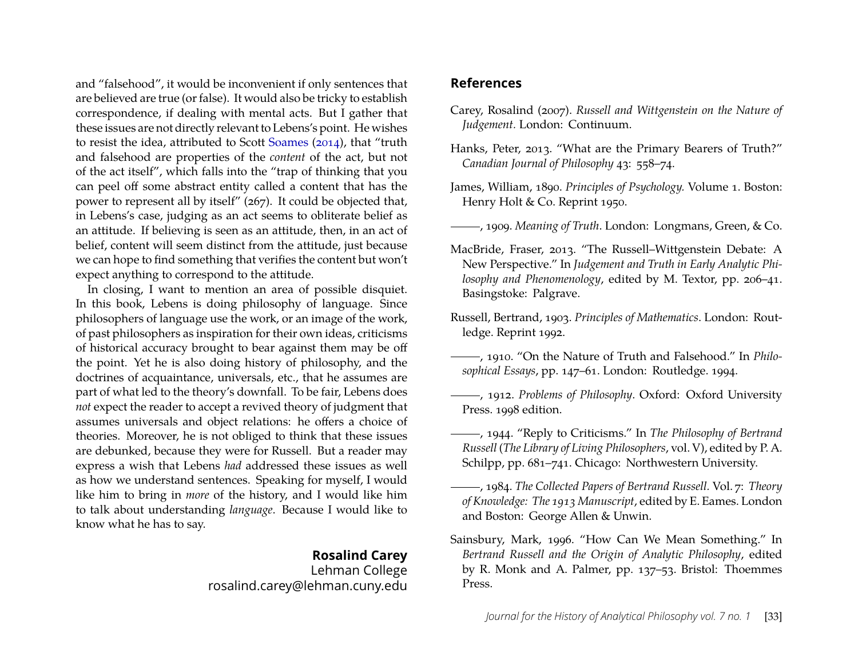and "falsehood", it would be inconvenient if only sentences that are believed are true (or false). It would also be tricky to establish correspondence, if dealing with mental acts. But I gather that these issues are not directly relevant to Lebens's point. He wishes to resist the idea, attributed to Scott [Soames](#page-9-1) [\(2014\)](#page-9-1), that "truth and falsehood are properties of the *content* of the act, but not of the act itself", which falls into the "trap of thinking that you can peel off some abstract entity called a content that has the power to represent all by itself" (267). It could be objected that, in Lebens's case, judging as an act seems to obliterate belief as an attitude. If believing is seen as an attitude, then, in an act of belief, content will seem distinct from the attitude, just because we can hope to find something that verifies the content but won't expect anything to correspond to the attitude.

In closing, I want to mention an area of possible disquiet. In this book, Lebens is doing philosophy of language. Since philosophers of language use the work, or an image of the work, of past philosophers as inspiration for their own ideas, criticisms of historical accuracy brought to bear against them may be off the point. Yet he is also doing history of philosophy, and the doctrines of acquaintance, universals, etc., that he assumes are part of what led to the theory's downfall. To be fair, Lebens does *not* expect the reader to accept a revived theory of judgment that assumes universals and object relations: he offers a choice of theories. Moreover, he is not obliged to think that these issues are debunked, because they were for Russell. But a reader may express a wish that Lebens *had* addressed these issues as well as how we understand sentences. Speaking for myself, I would like him to bring in *more* of the history, and I would like him to talk about understanding *language*. Because I would like to know what he has to say.

#### **Rosalind Carey**

Lehman College rosalind.carey@lehman.cuny.edu

#### **References**

- <span id="page-8-6"></span>Carey, Rosalind (2007). *Russell and Wittgenstein on the Nature of Judgement.* London: Continuum.
- <span id="page-8-10"></span>Hanks, Peter, 2013. "What are the Primary Bearers of Truth?" *Canadian Journal of Philosophy* 43: 558–74.
- <span id="page-8-8"></span>James, William, 1890. *Principles of Psychology.* Volume 1. Boston: Henry Holt & Co. Reprint 1950.
- <span id="page-8-9"></span>, 1909. *Meaning of Truth*. London: Longmans, Green, & Co.
- <span id="page-8-4"></span>MacBride, Fraser, 2013. "The Russell–Wittgenstein Debate: A New Perspective." In *Judgement and Truth in Early Analytic Philosophy and Phenomenology*, edited by M. Textor, pp. 206–41. Basingstoke: Palgrave.
- <span id="page-8-0"></span>Russell, Bertrand, 1903. *Principles of Mathematics*. London: Routledge. Reprint 1992.
- <span id="page-8-1"></span>, 1910. "On the Nature of Truth and Falsehood." In *Philosophical Essays*, pp. 147–61. London: Routledge. 1994.
- <span id="page-8-2"></span>, 1912. *Problems of Philosophy*. Oxford: Oxford University Press. 1998 edition.
- <span id="page-8-7"></span>, 1944. "Reply to Criticisms." In *The Philosophy of Bertrand Russell* (*The Library of Living Philosophers*, vol. V), edited by P. A. Schilpp, pp. 681–741. Chicago: Northwestern University.
- <span id="page-8-5"></span>, 1984. *The Collected Papers of Bertrand Russell.* Vol. 7: *Theory of Knowledge: The 1913 Manuscript*, edited by E. Eames. London and Boston: George Allen & Unwin.
- <span id="page-8-3"></span>Sainsbury, Mark, 1996. "How Can We Mean Something." In *Bertrand Russell and the Origin of Analytic Philosophy*, edited by R. Monk and A. Palmer, pp. 137–53. Bristol: Thoemmes Press.